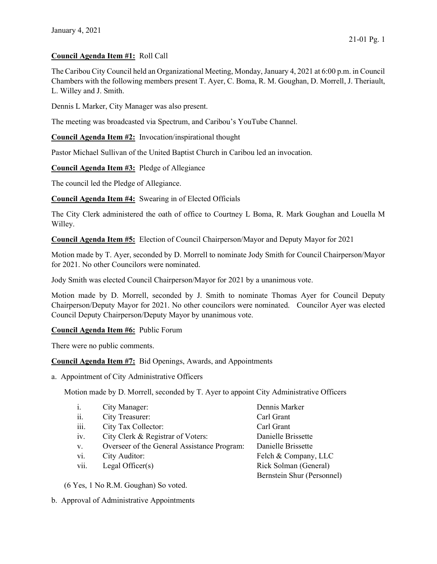## Council Agenda Item #1: Roll Call

The Caribou City Council held an Organizational Meeting, Monday, January 4, 2021 at 6:00 p.m. in Council Chambers with the following members present T. Ayer, C. Boma, R. M. Goughan, D. Morrell, J. Theriault, L. Willey and J. Smith.

Dennis L Marker, City Manager was also present.

The meeting was broadcasted via Spectrum, and Caribou's YouTube Channel.

Council Agenda Item #2: Invocation/inspirational thought

Pastor Michael Sullivan of the United Baptist Church in Caribou led an invocation.

Council Agenda Item #3: Pledge of Allegiance

The council led the Pledge of Allegiance.

Council Agenda Item #4: Swearing in of Elected Officials

The City Clerk administered the oath of office to Courtney L Boma, R. Mark Goughan and Louella M Willey.

Council Agenda Item #5: Election of Council Chairperson/Mayor and Deputy Mayor for 2021

Motion made by T. Ayer, seconded by D. Morrell to nominate Jody Smith for Council Chairperson/Mayor for 2021. No other Councilors were nominated.

Jody Smith was elected Council Chairperson/Mayor for 2021 by a unanimous vote.

Motion made by D. Morrell, seconded by J. Smith to nominate Thomas Ayer for Council Deputy Chairperson/Deputy Mayor for 2021. No other councilors were nominated. Councilor Ayer was elected Council Deputy Chairperson/Deputy Mayor by unanimous vote.

## Council Agenda Item #6: Public Forum

There were no public comments.

Council Agenda Item #7: Bid Openings, Awards, and Appointments

a. Appointment of City Administrative Officers

Motion made by D. Morrell, seconded by T. Ayer to appoint City Administrative Officers

| $\mathbf{1}$ . | City Manager:                               | Dennis Marker              |
|----------------|---------------------------------------------|----------------------------|
| ii.            | City Treasurer:                             | Carl Grant                 |
| iii.           | City Tax Collector:                         | Carl Grant                 |
| iv.            | City Clerk & Registrar of Voters:           | Danielle Brissette         |
| V.             | Overseer of the General Assistance Program: | Danielle Brissette         |
| vi.            | City Auditor:                               | Felch & Company, LLC       |
| vii.           | Legal Officer $(s)$                         | Rick Solman (General)      |
|                |                                             | Bernstein Shur (Personnel) |
|                |                                             |                            |

(6 Yes, 1 No R.M. Goughan) So voted.

b. Approval of Administrative Appointments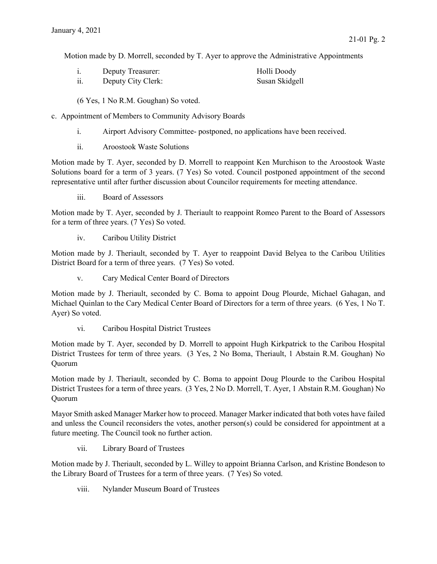Motion made by D. Morrell, seconded by T. Ayer to approve the Administrative Appointments

| Deputy Treasurer:  | Holli Doody    |
|--------------------|----------------|
| Deputy City Clerk: | Susan Skidgell |

(6 Yes, 1 No R.M. Goughan) So voted.

- c. Appointment of Members to Community Advisory Boards
	- i. Airport Advisory Committee- postponed, no applications have been received.
	- ii. Aroostook Waste Solutions

Motion made by T. Ayer, seconded by D. Morrell to reappoint Ken Murchison to the Aroostook Waste Solutions board for a term of 3 years. (7 Yes) So voted. Council postponed appointment of the second representative until after further discussion about Councilor requirements for meeting attendance.

iii. Board of Assessors

Motion made by T. Ayer, seconded by J. Theriault to reappoint Romeo Parent to the Board of Assessors for a term of three years. (7 Yes) So voted.

iv. Caribou Utility District

Motion made by J. Theriault, seconded by T. Ayer to reappoint David Belyea to the Caribou Utilities District Board for a term of three years. (7 Yes) So voted.

v. Cary Medical Center Board of Directors

Motion made by J. Theriault, seconded by C. Boma to appoint Doug Plourde, Michael Gahagan, and Michael Quinlan to the Cary Medical Center Board of Directors for a term of three years. (6 Yes, 1 No T. Ayer) So voted.

vi. Caribou Hospital District Trustees

Motion made by T. Ayer, seconded by D. Morrell to appoint Hugh Kirkpatrick to the Caribou Hospital District Trustees for term of three years. (3 Yes, 2 No Boma, Theriault, 1 Abstain R.M. Goughan) No Quorum

Motion made by J. Theriault, seconded by C. Boma to appoint Doug Plourde to the Caribou Hospital District Trustees for a term of three years. (3 Yes, 2 No D. Morrell, T. Ayer, 1 Abstain R.M. Goughan) No Quorum

Mayor Smith asked Manager Marker how to proceed. Manager Marker indicated that both votes have failed and unless the Council reconsiders the votes, another person(s) could be considered for appointment at a future meeting. The Council took no further action.

vii. Library Board of Trustees

Motion made by J. Theriault, seconded by L. Willey to appoint Brianna Carlson, and Kristine Bondeson to the Library Board of Trustees for a term of three years. (7 Yes) So voted.

viii. Nylander Museum Board of Trustees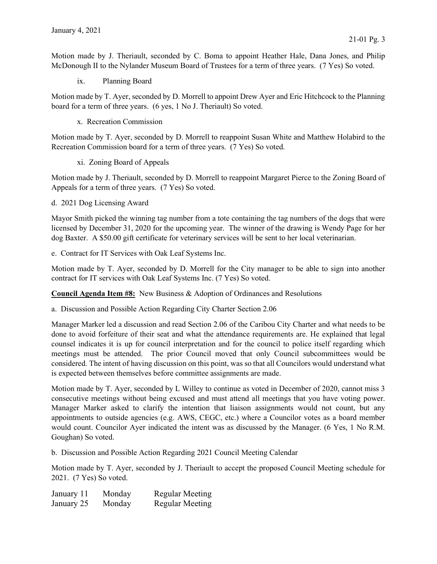Motion made by J. Theriault, seconded by C. Boma to appoint Heather Hale, Dana Jones, and Philip McDonough II to the Nylander Museum Board of Trustees for a term of three years. (7 Yes) So voted.

ix. Planning Board

Motion made by T. Ayer, seconded by D. Morrell to appoint Drew Ayer and Eric Hitchcock to the Planning board for a term of three years. (6 yes, 1 No J. Theriault) So voted.

x. Recreation Commission

Motion made by T. Ayer, seconded by D. Morrell to reappoint Susan White and Matthew Holabird to the Recreation Commission board for a term of three years. (7 Yes) So voted.

xi. Zoning Board of Appeals

Motion made by J. Theriault, seconded by D. Morrell to reappoint Margaret Pierce to the Zoning Board of Appeals for a term of three years. (7 Yes) So voted.

d. 2021 Dog Licensing Award

Mayor Smith picked the winning tag number from a tote containing the tag numbers of the dogs that were licensed by December 31, 2020 for the upcoming year. The winner of the drawing is Wendy Page for her dog Baxter. A \$50.00 gift certificate for veterinary services will be sent to her local veterinarian.

e. Contract for IT Services with Oak Leaf Systems Inc.

Motion made by T. Ayer, seconded by D. Morrell for the City manager to be able to sign into another contract for IT services with Oak Leaf Systems Inc. (7 Yes) So voted.

Council Agenda Item #8: New Business & Adoption of Ordinances and Resolutions

a. Discussion and Possible Action Regarding City Charter Section 2.06

Manager Marker led a discussion and read Section 2.06 of the Caribou City Charter and what needs to be done to avoid forfeiture of their seat and what the attendance requirements are. He explained that legal counsel indicates it is up for council interpretation and for the council to police itself regarding which meetings must be attended. The prior Council moved that only Council subcommittees would be considered. The intent of having discussion on this point, was so that all Councilors would understand what is expected between themselves before committee assignments are made.

Motion made by T. Ayer, seconded by L Willey to continue as voted in December of 2020, cannot miss 3 consecutive meetings without being excused and must attend all meetings that you have voting power. Manager Marker asked to clarify the intention that liaison assignments would not count, but any appointments to outside agencies (e.g. AWS, CEGC, etc.) where a Councilor votes as a board member would count. Councilor Ayer indicated the intent was as discussed by the Manager. (6 Yes, 1 No R.M. Goughan) So voted.

b. Discussion and Possible Action Regarding 2021 Council Meeting Calendar

Motion made by T. Ayer, seconded by J. Theriault to accept the proposed Council Meeting schedule for 2021. (7 Yes) So voted.

| January 11 | Monday | <b>Regular Meeting</b> |
|------------|--------|------------------------|
| January 25 | Monday | <b>Regular Meeting</b> |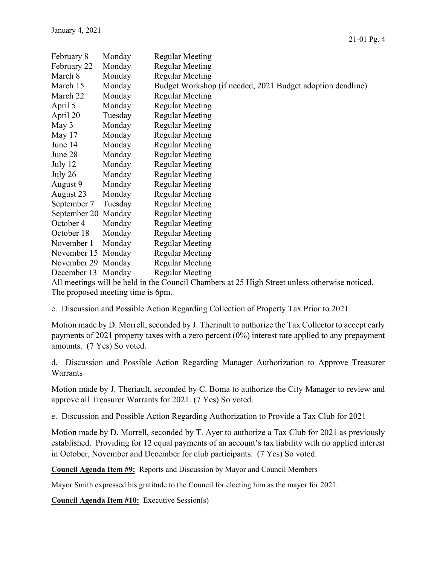| February 8                                                                                   | Monday  | <b>Regular Meeting</b>                                     |  |  |
|----------------------------------------------------------------------------------------------|---------|------------------------------------------------------------|--|--|
| February 22                                                                                  | Monday  | <b>Regular Meeting</b>                                     |  |  |
| March 8                                                                                      | Monday  | <b>Regular Meeting</b>                                     |  |  |
| March 15                                                                                     | Monday  | Budget Workshop (if needed, 2021 Budget adoption deadline) |  |  |
| March 22                                                                                     | Monday  | <b>Regular Meeting</b>                                     |  |  |
| April 5                                                                                      | Monday  | <b>Regular Meeting</b>                                     |  |  |
| April 20                                                                                     | Tuesday | <b>Regular Meeting</b>                                     |  |  |
| May 3                                                                                        | Monday  | <b>Regular Meeting</b>                                     |  |  |
| May 17                                                                                       | Monday  | <b>Regular Meeting</b>                                     |  |  |
| June 14                                                                                      | Monday  | <b>Regular Meeting</b>                                     |  |  |
| June 28                                                                                      | Monday  | <b>Regular Meeting</b>                                     |  |  |
| July 12                                                                                      | Monday  | <b>Regular Meeting</b>                                     |  |  |
| July 26                                                                                      | Monday  | <b>Regular Meeting</b>                                     |  |  |
| August 9                                                                                     | Monday  | <b>Regular Meeting</b>                                     |  |  |
| August 23                                                                                    | Monday  | <b>Regular Meeting</b>                                     |  |  |
| September 7                                                                                  | Tuesday | <b>Regular Meeting</b>                                     |  |  |
| September 20 Monday                                                                          |         | <b>Regular Meeting</b>                                     |  |  |
| October 4                                                                                    | Monday  | <b>Regular Meeting</b>                                     |  |  |
| October 18                                                                                   | Monday  | <b>Regular Meeting</b>                                     |  |  |
| November 1                                                                                   | Monday  | <b>Regular Meeting</b>                                     |  |  |
| November 15 Monday                                                                           |         | <b>Regular Meeting</b>                                     |  |  |
| November 29 Monday                                                                           |         | <b>Regular Meeting</b>                                     |  |  |
| December 13 Monday                                                                           |         | <b>Regular Meeting</b>                                     |  |  |
| All meetings will be held in the Council Chambors of 25 High Street unless otherwise noticed |         |                                                            |  |  |

All meetings will be held in the Council Chambers at 25 High Street unless otherwise noticed. The proposed meeting time is 6pm.

c. Discussion and Possible Action Regarding Collection of Property Tax Prior to 2021

Motion made by D. Morrell, seconded by J. Theriault to authorize the Tax Collector to accept early payments of 2021 property taxes with a zero percent (0%) interest rate applied to any prepayment amounts. (7 Yes) So voted.

d. Discussion and Possible Action Regarding Manager Authorization to Approve Treasurer Warrants

Motion made by J. Theriault, seconded by C. Boma to authorize the City Manager to review and approve all Treasurer Warrants for 2021. (7 Yes) So voted.

e. Discussion and Possible Action Regarding Authorization to Provide a Tax Club for 2021

Motion made by D. Morrell, seconded by T. Ayer to authorize a Tax Club for 2021 as previously established. Providing for 12 equal payments of an account's tax liability with no applied interest in October, November and December for club participants. (7 Yes) So voted.

Council Agenda Item #9: Reports and Discussion by Mayor and Council Members

Mayor Smith expressed his gratitude to the Council for electing him as the mayor for 2021.

Council Agenda Item #10: Executive Session(s)